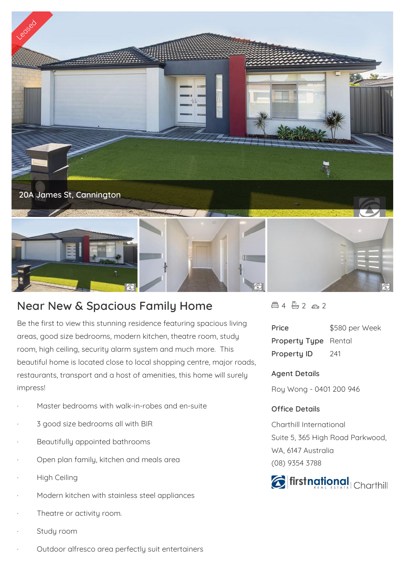

## **Near New & Spacious Family Home**

Be the first to view this stunning residence featuring spacious living areas, good size bedrooms, modern kitchen, theatre room, study room, high ceiling, security alarm system and much more. This beautiful home is located close to local shopping centre, major roads, restaurants, transport and a host of amenities, this home will surely impress!

- Master bedrooms with walk-in-robes and en-suite
- 3 good size bedrooms all with BIR
- Beautifully appointed bathrooms
- Open plan family, kitchen and meals area
- **High Ceiling**
- Modern kitchen with stainless steel appliances
- Theatre or activity room.
- Study room
- Outdoor alfresco area perfectly suit entertainers

 $44722$ 

| Price                       | \$580 per Week |
|-----------------------------|----------------|
| <b>Property Type</b> Rental |                |
| <b>Property ID</b>          | 241            |

## **Agent Details**

Roy Wong - 0401 200 946

## **Office Details**

Charthill International Suite 5, 365 High Road Parkwood, WA, 6147 Australia (08) 9354 3788